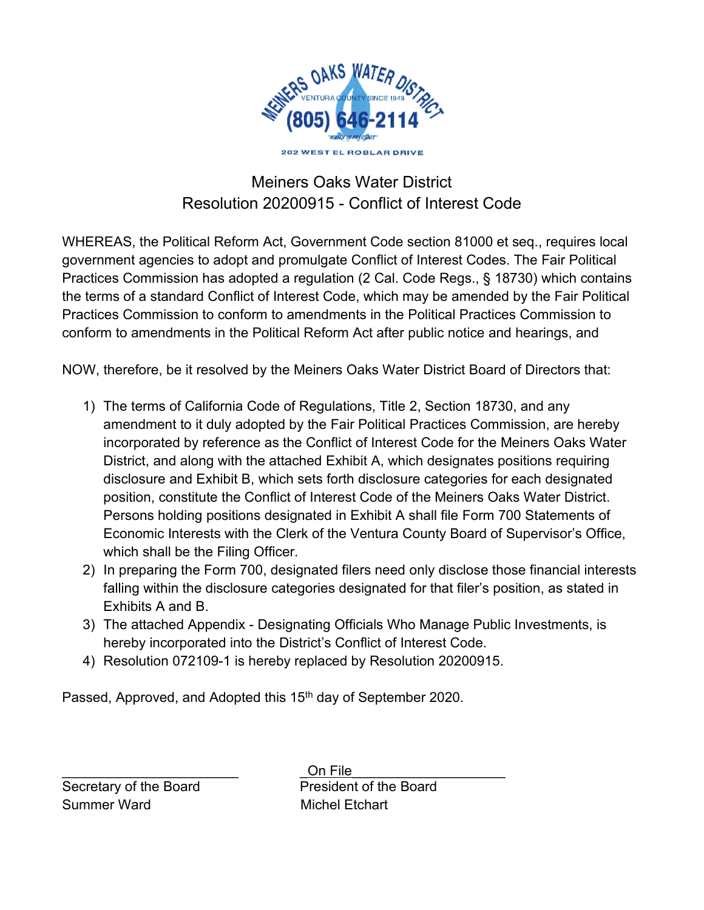

# Meiners Oaks Water District Resolution 20200915 - Conflict of Interest Code

WHEREAS, the Political Reform Act, Government Code section 81000 et seq., requires local government agencies to adopt and promulgate Conflict of Interest Codes. The Fair Political Practices Commission has adopted a regulation (2 Cal. Code Regs., § 18730) which contains the terms of a standard Conflict of Interest Code, which may be amended by the Fair Political Practices Commission to conform to amendments in the Political Practices Commission to conform to amendments in the Political Reform Act after public notice and hearings, and

NOW, therefore, be it resolved by the Meiners Oaks Water District Board of Directors that:

- 1) The terms of California Code of Regulations, Title 2, Section 18730, and any amendment to it duly adopted by the Fair Political Practices Commission, are hereby incorporated by reference as the Conflict of Interest Code for the Meiners Oaks Water District, and along with the attached Exhibit A, which designates positions requiring disclosure and Exhibit B, which sets forth disclosure categories for each designated position, constitute the Conflict of Interest Code of the Meiners Oaks Water District. Persons holding positions designated in Exhibit A shall file Form 700 Statements of Economic Interests with the Clerk of the Ventura County Board of Supervisor's Office, which shall be the Filing Officer.
- 2) In preparing the Form 700, designated filers need only disclose those financial interests falling within the disclosure categories designated for that filer's position, as stated in Exhibits A and B.
- 3) The attached Appendix Designating Officials Who Manage Public Investments, is hereby incorporated into the District's Conflict of Interest Code.
- 4) Resolution 072109-1 is hereby replaced by Resolution 20200915.

Passed, Approved, and Adopted this 15<sup>th</sup> day of September 2020.

Summer Ward Michel Etchart

\_\_\_\_\_\_\_\_\_\_\_\_\_\_\_\_\_\_\_\_\_\_\_ \_On File\_\_\_\_\_\_\_\_\_\_\_\_\_\_\_\_\_\_\_\_ Secretary of the Board President of the Board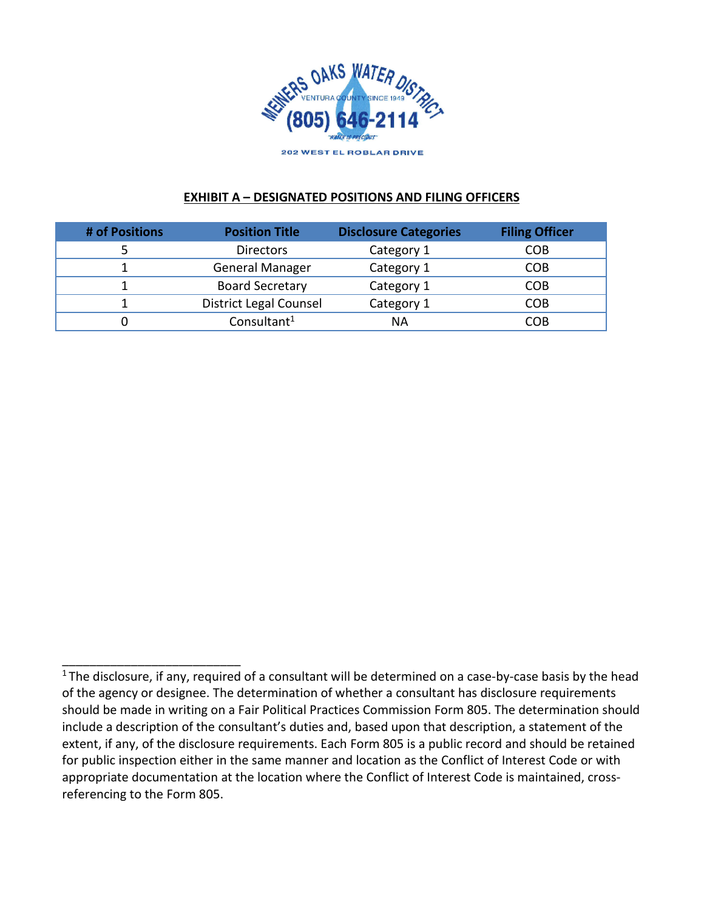

#### **EXHIBIT A – DESIGNATED POSITIONS AND FILING OFFICERS**

| # of Positions | <b>Position Title</b>         | <b>Disclosure Categories</b> | <b>Filing Officer</b> |
|----------------|-------------------------------|------------------------------|-----------------------|
|                | <b>Directors</b>              | Category 1                   | СОВ                   |
|                | <b>General Manager</b>        | Category 1                   | COB                   |
|                | <b>Board Secretary</b>        | Category 1                   | COB                   |
|                | <b>District Legal Counsel</b> | Category 1                   | <b>COB</b>            |
|                | Consultant <sup>1</sup>       | ΝA                           | COB                   |

\_\_\_\_\_\_\_\_\_\_\_\_\_\_\_\_\_\_\_\_\_\_\_\_\_\_

 $1$ The disclosure, if any, required of a consultant will be determined on a case-by-case basis by the head of the agency or designee. The determination of whether a consultant has disclosure requirements should be made in writing on a Fair Political Practices Commission Form 805. The determination should include a description of the consultant's duties and, based upon that description, a statement of the extent, if any, of the disclosure requirements. Each Form 805 is a public record and should be retained for public inspection either in the same manner and location as the Conflict of Interest Code or with appropriate documentation at the location where the Conflict of Interest Code is maintained, crossreferencing to the Form 805.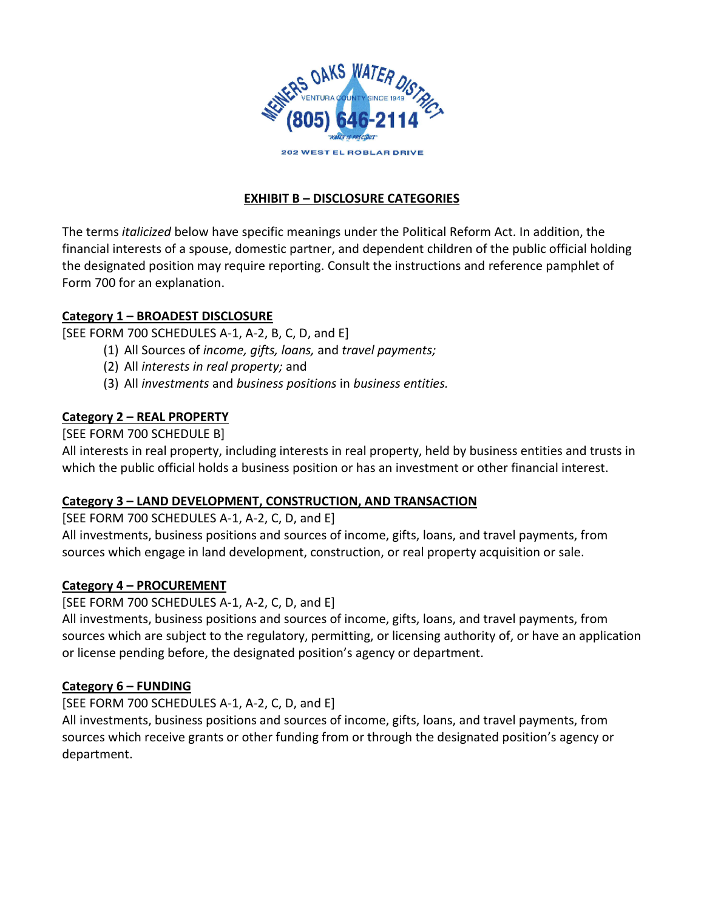

# **EXHIBIT B – DISCLOSURE CATEGORIES**

The terms *italicized* below have specific meanings under the Political Reform Act. In addition, the financial interests of a spouse, domestic partner, and dependent children of the public official holding the designated position may require reporting. Consult the instructions and reference pamphlet of Form 700 for an explanation.

### **Category 1 – BROADEST DISCLOSURE**

[SEE FORM 700 SCHEDULES A-1, A-2, B, C, D, and E]

- (1) All Sources of *income, gifts, loans,* and *travel payments;*
- (2) All *interests in real property;* and
- (3) All *investments* and *business positions* in *business entities.*

## **Category 2 – REAL PROPERTY**

[SEE FORM 700 SCHEDULE B]

All interests in real property, including interests in real property, held by business entities and trusts in which the public official holds a business position or has an investment or other financial interest.

### **Category 3 – LAND DEVELOPMENT, CONSTRUCTION, AND TRANSACTION**

### [SEE FORM 700 SCHEDULES A-1, A-2, C, D, and E]

All investments, business positions and sources of income, gifts, loans, and travel payments, from sources which engage in land development, construction, or real property acquisition or sale.

# **Category 4 – PROCUREMENT**

[SEE FORM 700 SCHEDULES A-1, A-2, C, D, and E]

All investments, business positions and sources of income, gifts, loans, and travel payments, from sources which are subject to the regulatory, permitting, or licensing authority of, or have an application or license pending before, the designated position's agency or department.

# **Category 6 – FUNDING**

[SEE FORM 700 SCHEDULES A-1, A-2, C, D, and E]

All investments, business positions and sources of income, gifts, loans, and travel payments, from sources which receive grants or other funding from or through the designated position's agency or department.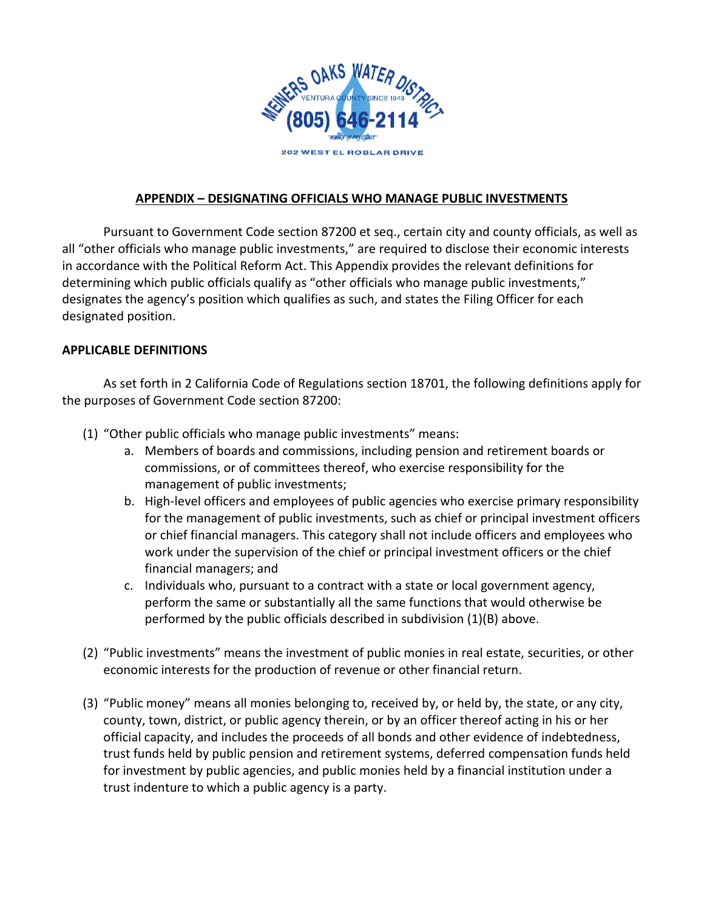

## **APPENDIX – DESIGNATING OFFICIALS WHO MANAGE PUBLIC INVESTMENTS**

Pursuant to Government Code section 87200 et seq., certain city and county officials, as well as all "other officials who manage public investments," are required to disclose their economic interests in accordance with the Political Reform Act. This Appendix provides the relevant definitions for determining which public officials qualify as "other officials who manage public investments," designates the agency's position which qualifies as such, and states the Filing Officer for each designated position.

#### **APPLICABLE DEFINITIONS**

As set forth in 2 California Code of Regulations section 18701, the following definitions apply for the purposes of Government Code section 87200:

- (1) "Other public officials who manage public investments" means:
	- a. Members of boards and commissions, including pension and retirement boards or commissions, or of committees thereof, who exercise responsibility for the management of public investments;
	- b. High-level officers and employees of public agencies who exercise primary responsibility for the management of public investments, such as chief or principal investment officers or chief financial managers. This category shall not include officers and employees who work under the supervision of the chief or principal investment officers or the chief financial managers; and
	- c. Individuals who, pursuant to a contract with a state or local government agency, perform the same or substantially all the same functions that would otherwise be performed by the public officials described in subdivision (1)(B) above.
- (2) "Public investments" means the investment of public monies in real estate, securities, or other economic interests for the production of revenue or other financial return.
- (3) "Public money" means all monies belonging to, received by, or held by, the state, or any city, county, town, district, or public agency therein, or by an officer thereof acting in his or her official capacity, and includes the proceeds of all bonds and other evidence of indebtedness, trust funds held by public pension and retirement systems, deferred compensation funds held for investment by public agencies, and public monies held by a financial institution under a trust indenture to which a public agency is a party.